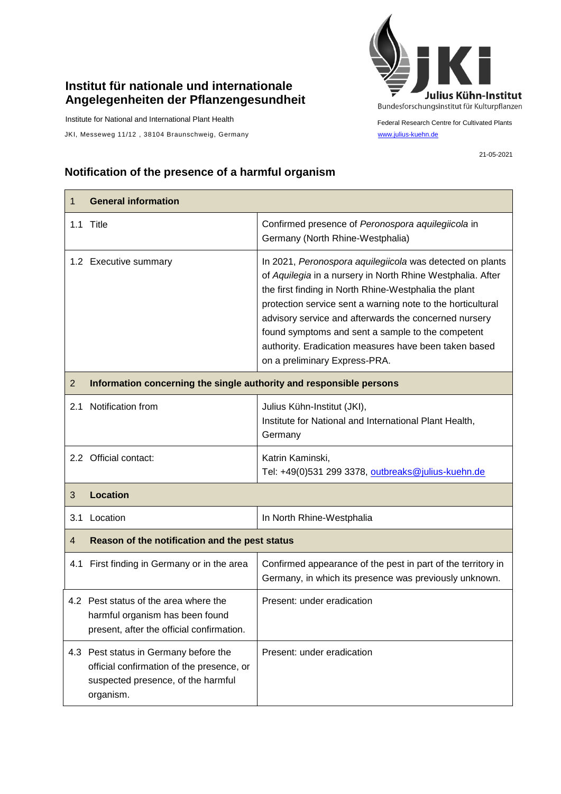## **Institut für nationale und internationale Angelegenheiten der Pflanzengesundheit**

Institute for National and International Plant Health

JKI, Messeweg 11/12, 38104 Braunschweig, Germany [www.julius-kuehn.de](http://www.julius-kuehn.de/)



Federal Research Centre for Cultivated Plants

21-05-2021

## **Notification of the presence of a harmful organism**

| 1              | <b>General information</b>                                                                                                            |                                                                                                                                                                                                                                                                                                                                                                                                                                                         |  |
|----------------|---------------------------------------------------------------------------------------------------------------------------------------|---------------------------------------------------------------------------------------------------------------------------------------------------------------------------------------------------------------------------------------------------------------------------------------------------------------------------------------------------------------------------------------------------------------------------------------------------------|--|
|                | 1.1 Title                                                                                                                             | Confirmed presence of Peronospora aquilegiicola in<br>Germany (North Rhine-Westphalia)                                                                                                                                                                                                                                                                                                                                                                  |  |
|                | 1.2 Executive summary                                                                                                                 | In 2021, Peronospora aquilegiicola was detected on plants<br>of Aquilegia in a nursery in North Rhine Westphalia. After<br>the first finding in North Rhine-Westphalia the plant<br>protection service sent a warning note to the horticultural<br>advisory service and afterwards the concerned nursery<br>found symptoms and sent a sample to the competent<br>authority. Eradication measures have been taken based<br>on a preliminary Express-PRA. |  |
| $\overline{2}$ | Information concerning the single authority and responsible persons                                                                   |                                                                                                                                                                                                                                                                                                                                                                                                                                                         |  |
| 2.1            | Notification from                                                                                                                     | Julius Kühn-Institut (JKI),<br>Institute for National and International Plant Health,<br>Germany                                                                                                                                                                                                                                                                                                                                                        |  |
|                | 2.2 Official contact:                                                                                                                 | Katrin Kaminski,<br>Tel: +49(0)531 299 3378, outbreaks@julius-kuehn.de                                                                                                                                                                                                                                                                                                                                                                                  |  |
| 3              | <b>Location</b>                                                                                                                       |                                                                                                                                                                                                                                                                                                                                                                                                                                                         |  |
| 3.1            | Location                                                                                                                              | In North Rhine-Westphalia                                                                                                                                                                                                                                                                                                                                                                                                                               |  |
| 4              | Reason of the notification and the pest status                                                                                        |                                                                                                                                                                                                                                                                                                                                                                                                                                                         |  |
|                | 4.1 First finding in Germany or in the area                                                                                           | Confirmed appearance of the pest in part of the territory in<br>Germany, in which its presence was previously unknown.                                                                                                                                                                                                                                                                                                                                  |  |
|                | 4.2 Pest status of the area where the<br>harmful organism has been found<br>present, after the official confirmation.                 | Present: under eradication                                                                                                                                                                                                                                                                                                                                                                                                                              |  |
|                | 4.3 Pest status in Germany before the<br>official confirmation of the presence, or<br>suspected presence, of the harmful<br>organism. | Present: under eradication                                                                                                                                                                                                                                                                                                                                                                                                                              |  |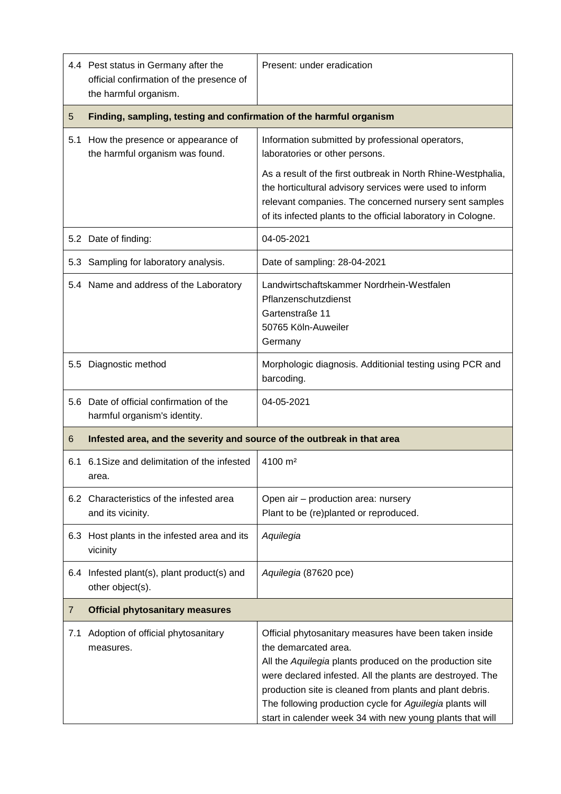|                | 4.4 Pest status in Germany after the<br>official confirmation of the presence of<br>the harmful organism. | Present: under eradication                                                                                                                                                                                                                                                                                                                                                                   |  |
|----------------|-----------------------------------------------------------------------------------------------------------|----------------------------------------------------------------------------------------------------------------------------------------------------------------------------------------------------------------------------------------------------------------------------------------------------------------------------------------------------------------------------------------------|--|
| 5              | Finding, sampling, testing and confirmation of the harmful organism                                       |                                                                                                                                                                                                                                                                                                                                                                                              |  |
| 5.1            | How the presence or appearance of<br>the harmful organism was found.                                      | Information submitted by professional operators,<br>laboratories or other persons.                                                                                                                                                                                                                                                                                                           |  |
|                |                                                                                                           | As a result of the first outbreak in North Rhine-Westphalia,<br>the horticultural advisory services were used to inform<br>relevant companies. The concerned nursery sent samples<br>of its infected plants to the official laboratory in Cologne.                                                                                                                                           |  |
|                | 5.2 Date of finding:                                                                                      | 04-05-2021                                                                                                                                                                                                                                                                                                                                                                                   |  |
|                | 5.3 Sampling for laboratory analysis.                                                                     | Date of sampling: 28-04-2021                                                                                                                                                                                                                                                                                                                                                                 |  |
|                | 5.4 Name and address of the Laboratory                                                                    | Landwirtschaftskammer Nordrhein-Westfalen<br>Pflanzenschutzdienst<br>Gartenstraße 11<br>50765 Köln-Auweiler<br>Germany                                                                                                                                                                                                                                                                       |  |
| 5.5            | Diagnostic method                                                                                         | Morphologic diagnosis. Additionial testing using PCR and<br>barcoding.                                                                                                                                                                                                                                                                                                                       |  |
| 5.6            | Date of official confirmation of the<br>harmful organism's identity.                                      | 04-05-2021                                                                                                                                                                                                                                                                                                                                                                                   |  |
| 6              | Infested area, and the severity and source of the outbreak in that area                                   |                                                                                                                                                                                                                                                                                                                                                                                              |  |
| 6.1            | 6.1 Size and delimitation of the infested<br>area.                                                        | 4100 m <sup>2</sup>                                                                                                                                                                                                                                                                                                                                                                          |  |
|                | 6.2 Characteristics of the infested area<br>and its vicinity.                                             | Open air - production area: nursery<br>Plant to be (re)planted or reproduced.                                                                                                                                                                                                                                                                                                                |  |
|                | 6.3 Host plants in the infested area and its<br>vicinity                                                  | Aquilegia                                                                                                                                                                                                                                                                                                                                                                                    |  |
|                | 6.4 Infested plant(s), plant product(s) and<br>other object(s).                                           | Aquilegia (87620 pce)                                                                                                                                                                                                                                                                                                                                                                        |  |
| $\overline{7}$ | <b>Official phytosanitary measures</b>                                                                    |                                                                                                                                                                                                                                                                                                                                                                                              |  |
| 7.1            | Adoption of official phytosanitary<br>measures.                                                           | Official phytosanitary measures have been taken inside<br>the demarcated area.<br>All the Aquilegia plants produced on the production site<br>were declared infested. All the plants are destroyed. The<br>production site is cleaned from plants and plant debris.<br>The following production cycle for Aguilegia plants will<br>start in calender week 34 with new young plants that will |  |